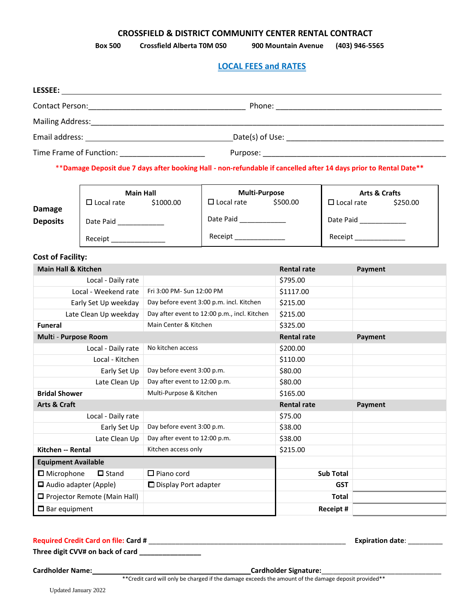#### **CROSSFIELD & DISTRICT COMMUNITY CENTER RENTAL CONTRACT**

**Box 500 Crossfield Alberta T0M 0S0 900 Mountain Avenue (403) 946-5565**

## **LOCAL FEES and RATES**

| LESSEE:                                                                                                                                                                                                                        |                                                                                               |
|--------------------------------------------------------------------------------------------------------------------------------------------------------------------------------------------------------------------------------|-----------------------------------------------------------------------------------------------|
|                                                                                                                                                                                                                                |                                                                                               |
|                                                                                                                                                                                                                                |                                                                                               |
| Email address: Universe and Separate and Separate and Separate and Separate and Separate and Separate and Separate and Separate and Separate and Separate and Separate and Separate and Separate and Separate and Separate and |                                                                                               |
| Time Frame of Function: Time Frame of Function:                                                                                                                                                                                |                                                                                               |
|                                                                                                                                                                                                                                | الأساط والمستحيل والمتحاول والمنافس والمنافس والمتحاول والمتحاول والمستحيل والمنافس والمستحدث |

\*\***Damage Deposit due 7 days after booking Hall - non-refundable if cancelled after 14 days prior to Rental Date\*\***

|                                | <b>Main Hall</b>                    |                               | <b>Multi-Purpose</b>                         |                    | <b>Arts &amp; Crafts</b> |                         |          |
|--------------------------------|-------------------------------------|-------------------------------|----------------------------------------------|--------------------|--------------------------|-------------------------|----------|
| <b>Damage</b>                  | $\Box$ Local rate                   | \$1000.00                     | $\Box$ Local rate                            | \$500.00           | $\Box$ Local rate        |                         | \$250.00 |
| <b>Deposits</b>                | Date Paid ____________              |                               | Date Paid                                    |                    |                          | Date Paid _____________ |          |
|                                | Receipt _______________             |                               | Receipt _______________                      |                    |                          | Receipt _______________ |          |
| <b>Cost of Facility:</b>       |                                     |                               |                                              |                    |                          |                         |          |
| <b>Main Hall &amp; Kitchen</b> |                                     |                               |                                              | <b>Rental rate</b> |                          | Payment                 |          |
|                                | Local - Daily rate                  |                               |                                              | \$795.00           |                          |                         |          |
|                                | Local - Weekend rate                | Fri 3:00 PM- Sun 12:00 PM     |                                              | \$1117.00          |                          |                         |          |
|                                | Early Set Up weekday                |                               | Day before event 3:00 p.m. incl. Kitchen     | \$215.00           |                          |                         |          |
|                                | Late Clean Up weekday               |                               | Day after event to 12:00 p.m., incl. Kitchen | \$215.00           |                          |                         |          |
| <b>Funeral</b>                 |                                     | Main Center & Kitchen         |                                              | \$325.00           |                          |                         |          |
| Multi - Purpose Room           |                                     |                               |                                              | <b>Rental rate</b> |                          | Payment                 |          |
|                                | Local - Daily rate                  | No kitchen access             |                                              | \$200.00           |                          |                         |          |
|                                | Local - Kitchen                     |                               |                                              | \$110.00           |                          |                         |          |
|                                | Early Set Up                        | Day before event 3:00 p.m.    |                                              | \$80.00            |                          |                         |          |
|                                | Late Clean Up                       | Day after event to 12:00 p.m. |                                              | \$80.00            |                          |                         |          |
| <b>Bridal Shower</b>           |                                     | Multi-Purpose & Kitchen       |                                              | \$165.00           |                          |                         |          |
| <b>Arts &amp; Craft</b>        |                                     |                               |                                              | <b>Rental rate</b> |                          | Payment                 |          |
|                                | Local - Daily rate                  |                               |                                              | \$75.00            |                          |                         |          |
|                                | Early Set Up                        | Day before event 3:00 p.m.    |                                              | \$38.00            |                          |                         |          |
|                                | Late Clean Up                       | Day after event to 12:00 p.m. |                                              | \$38.00            |                          |                         |          |
| Kitchen -- Rental              |                                     | Kitchen access only           |                                              | \$215.00           |                          |                         |          |
| <b>Equipment Available</b>     |                                     |                               |                                              |                    |                          |                         |          |
| $\Box$ Microphone              | $\Box$ Stand                        | $\Box$ Piano cord             |                                              |                    | <b>Sub Total</b>         |                         |          |
| $\Box$ Audio adapter (Apple)   |                                     | □ Display Port adapter        |                                              |                    | <b>GST</b>               |                         |          |
|                                | $\Box$ Projector Remote (Main Hall) |                               |                                              |                    | <b>Total</b>             |                         |          |
| $\square$ Bar equipment        |                                     |                               |                                              |                    | Receipt #                |                         |          |

**Required Credit Card on file: Card #** \_\_\_\_\_\_\_\_\_\_\_\_\_\_\_\_\_\_\_\_\_\_\_\_\_\_\_\_\_\_\_\_\_\_\_\_\_\_\_\_\_\_\_\_\_\_\_\_\_\_\_ **Expiration date**: \_\_\_\_\_\_\_\_\_

**Three digit CVV# on back of card \_\_\_\_\_\_\_\_\_\_\_\_\_\_\_\_**

**Cardholder Name: Cardholder Signature:**\_\_\_\_\_\_\_\_\_\_\_\_\_\_\_\_\_\_\_\_\_\_\_\_\_\_\_\_\_\_\_

\*\*Credit card will only be charged if the damage exceeds the amount of the damage deposit provided\*\*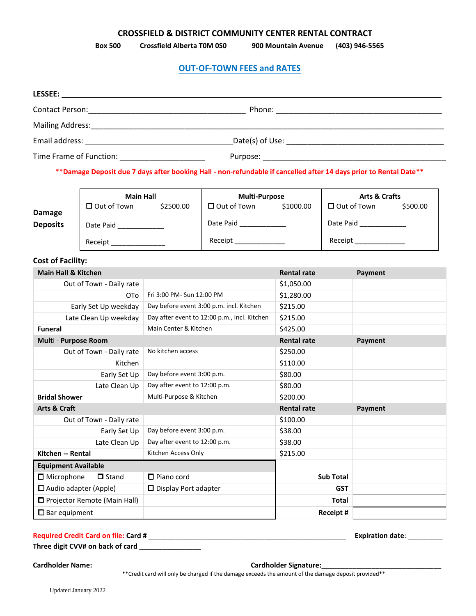#### **CROSSFIELD & DISTRICT COMMUNITY CENTER RENTAL CONTRACT**

**Box 500 Crossfield Alberta T0M 0S0 900 Mountain Avenue (403) 946-5565**

#### **OUT-OF-TOWN FEES and RATES**

| <b>LESSEE:</b><br><u>and the state of the state of the state of the state of the state of the state of the state of the state of the state of the state of the state of the state of the state of the state of the state of the state of the state</u> |  |
|--------------------------------------------------------------------------------------------------------------------------------------------------------------------------------------------------------------------------------------------------------|--|
|                                                                                                                                                                                                                                                        |  |
|                                                                                                                                                                                                                                                        |  |
| Email address: Universe and Separate and Separate and Separate and Separate and Separate and Separate and Separate and Separate and Separate and Separate and Separate and Separate and Separate and Separate and Separate and                         |  |
| Time Frame of Function: National Processing Contracts                                                                                                                                                                                                  |  |
|                                                                                                                                                                                                                                                        |  |

\*\***Damage Deposit due 7 days after booking Hall - non-refundable if cancelled after 14 days prior to Rental Date\*\***

|                           | <b>Main Hall</b>   |           | <b>Multi-Purpose</b> |           | <b>Arts &amp; Crafts</b> |          |
|---------------------------|--------------------|-----------|----------------------|-----------|--------------------------|----------|
|                           | $\Box$ Out of Town | \$2500.00 | $\Box$ Out of Town   | \$1000.00 | $\Box$ Out of Town       | \$500.00 |
| Damage<br><b>Deposits</b> | Date Paid          | Date Paid |                      | Date Paid |                          |          |
|                           | Receipt            |           | Receipt              |           | Receipt                  |          |

## **Cost of Facility:**

| <b>Main Hall &amp; Kitchen</b>      |                                              | <b>Rental rate</b> | Payment |
|-------------------------------------|----------------------------------------------|--------------------|---------|
| Out of Town - Daily rate            |                                              | \$1,050.00         |         |
| OT <sub>o</sub>                     | Fri 3:00 PM- Sun 12:00 PM                    | \$1,280.00         |         |
| Early Set Up weekday                | Day before event 3:00 p.m. incl. Kitchen     | \$215.00           |         |
| Late Clean Up weekday               | Day after event to 12:00 p.m., incl. Kitchen | \$215.00           |         |
| <b>Funeral</b>                      | Main Center & Kitchen                        | \$425.00           |         |
| Multi - Purpose Room                |                                              | <b>Rental rate</b> | Payment |
| Out of Town - Daily rate            | No kitchen access                            | \$250.00           |         |
| Kitchen                             |                                              | \$110.00           |         |
| Early Set Up                        | Day before event 3:00 p.m.                   | \$80.00            |         |
| Late Clean Up                       | Day after event to 12:00 p.m.                | \$80.00            |         |
| <b>Bridal Shower</b>                | Multi-Purpose & Kitchen                      | \$200.00           |         |
| <b>Arts &amp; Craft</b>             |                                              | <b>Rental rate</b> | Payment |
| Out of Town - Daily rate            |                                              | \$100.00           |         |
| Early Set Up                        | Day before event 3:00 p.m.                   | \$38.00            |         |
| Late Clean Up                       | Day after event to 12:00 p.m.                | \$38.00            |         |
| Kitchen -- Rental                   | Kitchen Access Only                          | \$215.00           |         |
| <b>Equipment Available</b>          |                                              |                    |         |
| $\Box$ Microphone<br>$\Box$ Stand   | $\Box$ Piano cord                            | <b>Sub Total</b>   |         |
| $\Box$ Audio adapter (Apple)        | $\Box$ Display Port adapter                  | <b>GST</b>         |         |
| $\Box$ Projector Remote (Main Hall) |                                              | <b>Total</b>       |         |
| $\square$ Bar equipment             |                                              | Receipt #          |         |

#### **Required Credit Card on file: Card #** \_\_\_\_\_\_\_\_\_\_\_\_\_\_\_\_\_\_\_\_\_\_\_\_\_\_\_\_\_\_\_\_\_\_\_\_\_\_\_\_\_\_\_\_\_\_\_\_\_\_\_ **Expiration date**: \_\_\_\_\_\_\_\_\_

**Three digit CVV# on back of card \_\_\_\_\_\_\_\_\_\_\_\_\_\_\_\_**

**Cardholder Name: Cardholder Signature:**\_\_\_\_\_\_\_\_\_\_\_\_\_\_\_\_\_\_\_\_\_\_\_\_\_\_\_\_\_\_\_

\*\*Credit card will only be charged if the damage exceeds the amount of the damage deposit provided\*\*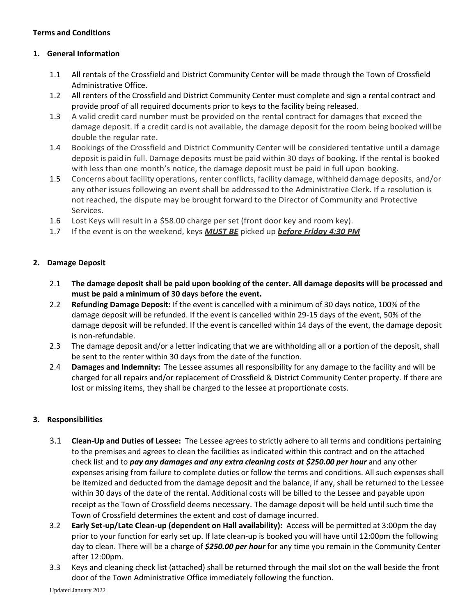# **Terms and Conditions**

# **1. General Information**

- 1.1 All rentals of the Crossfield and District Community Center will be made through the Town of Crossfield Administrative Office.
- 1.2 All renters of the Crossfield and District Community Center must complete and sign a rental contract and provide proof of all required documents prior to keys to the facility being released.
- 1.3 A valid credit card number must be provided on the rental contract for damages that exceed the damage deposit. If a credit card is not available, the damage deposit for the room being booked willbe double the regular rate.
- 1.4 Bookings of the Crossfield and District Community Center will be considered tentative until a damage deposit is paidin full. Damage deposits must be paid within 30 days of booking. If the rental is booked with less than one month's notice, the damage deposit must be paid in full upon booking.
- 1.5 Concerns about facility operations, renter conflicts, facility damage, withheld damage deposits, and/or any other issues following an event shall be addressed to the Administrative Clerk. If a resolution is not reached, the dispute may be brought forward to the Director of Community and Protective Services.
- 1.6 Lost Keys will result in a \$58.00 charge per set (front door key and room key).
- 1.7 If the event is on the weekend, keys *MUST BE* picked up *before Friday 4:30 PM*

# **2. Damage Deposit**

- 2.1 **The damage deposit shall be paid upon booking of the center. All damage deposits will be processed and must be paid a minimum of 30 days before the event.**
- 2.2 **Refunding Damage Deposit:** If the event is cancelled with a minimum of 30 days notice, 100% of the damage deposit will be refunded. If the event is cancelled within 29-15 days of the event, 50% of the damage deposit will be refunded. If the event is cancelled within 14 days of the event, the damage deposit is non-refundable.
- 2.3 The damage deposit and/or a letter indicating that we are withholding all or a portion of the deposit, shall be sent to the renter within 30 days from the date of the function.
- 2.4 **Damages and Indemnity:** The Lessee assumes all responsibility for any damage to the facility and will be charged for all repairs and/or replacement of Crossfield & District Community Center property. If there are lost or missing items, they shall be charged to the lessee at proportionate costs.

## **3. Responsibilities**

- 3.1 **Clean-Up and Duties of Lessee:** The Lessee agrees to strictly adhere to all terms and conditions pertaining to the premises and agrees to clean the facilities as indicated within this contract and on the attached check list and to *pay any damages and any extra cleaning costs at \$250.00 per hour* and any other expenses arising from failure to complete duties or follow the terms and conditions. All such expenses shall be itemized and deducted from the damage deposit and the balance, if any, shall be returned to the Lessee within 30 days of the date of the rental. Additional costs will be billed to the Lessee and payable upon receipt as the Town of Crossfield deems necessary. The damage deposit will be held until such time the Town of Crossfield determines the extent and cost of damage incurred.
- 3.2 **Early Set-up/Late Clean-up (dependent on Hall availability):** Access will be permitted at 3:00pm the day prior to your function for early set up. If late clean-up is booked you will have until 12:00pm the following day to clean. There will be a charge of *\$250.00 per hour* for any time you remain in the Community Center after 12:00pm.
- 3.3 Keys and cleaning check list (attached) shall be returned through the mail slot on the wall beside the front door of the Town Administrative Office immediately following the function.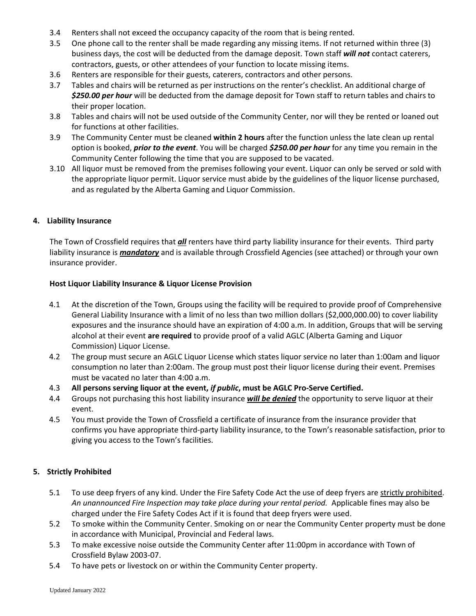- 3.4 Renters shall not exceed the occupancy capacity of the room that is being rented.
- 3.5 One phone call to the renter shall be made regarding any missing items. If not returned within three (3) business days, the cost will be deducted from the damage deposit. Town staff *will not* contact caterers, contractors, guests, or other attendees of your function to locate missing items.
- 3.6 Renters are responsible for their guests, caterers, contractors and other persons.
- 3.7 Tables and chairs will be returned as per instructions on the renter's checklist. An additional charge of *\$250.00 per hour* will be deducted from the damage deposit for Town staff to return tables and chairs to their proper location.
- 3.8 Tables and chairs will not be used outside of the Community Center, nor will they be rented or loaned out for functions at other facilities.
- 3.9 The Community Center must be cleaned **within 2 hours** after the function unless the late clean up rental option is booked, *prior to the event*. You will be charged *\$250.00 per hour* for any time you remain in the Community Center following the time that you are supposed to be vacated.
- 3.10 All liquor must be removed from the premises following your event. Liquor can only be served or sold with the appropriate liquor permit. Liquor service must abide by the guidelines of the liquor license purchased, and as regulated by the Alberta Gaming and Liquor Commission.

## **4. Liability Insurance**

The Town of Crossfield requires that *all* renters have third party liability insurance for their events. Third party liability insurance is *mandatory* and is available through Crossfield Agencies (see attached) or through your own insurance provider.

## **Host Liquor Liability Insurance & Liquor License Provision**

- 4.1 At the discretion of the Town, Groups using the facility will be required to provide proof of Comprehensive General Liability Insurance with a limit of no less than two million dollars (\$2,000,000.00) to cover liability exposures and the insurance should have an expiration of 4:00 a.m. In addition, Groups that will be serving alcohol at their event **are required** to provide proof of a valid AGLC (Alberta Gaming and Liquor Commission) Liquor License.
- 4.2 The group must secure an AGLC Liquor License which states liquor service no later than 1:00am and liquor consumption no later than 2:00am. The group must post their liquor license during their event. Premises must be vacated no later than 4:00 a.m.
- 4.3 **All persons serving liquor at the event,** *if public***, must be AGLC Pro-Serve Certified.**
- 4.4 Groups not purchasing this host liability insurance *will be denied* the opportunity to serve liquor at their event.
- 4.5 You must provide the Town of Crossfield a certificate of insurance from the insurance provider that confirms you have appropriate third-party liability insurance, to the Town's reasonable satisfaction, prior to giving you access to the Town's facilities.

## **5. Strictly Prohibited**

- 5.1 To use deep fryers of any kind. Under the Fire Safety Code Act the use of deep fryers are strictly prohibited. *An unannounced Fire Inspection may take place during your rental period.* Applicable fines may also be charged under the Fire Safety Codes Act if it is found that deep fryers were used.
- 5.2 To smoke within the Community Center. Smoking on or near the Community Center property must be done in accordance with Municipal, Provincial and Federal laws.
- 5.3 To make excessive noise outside the Community Center after 11:00pm in accordance with Town of Crossfield Bylaw 2003-07.
- 5.4 To have pets or livestock on or within the Community Center property.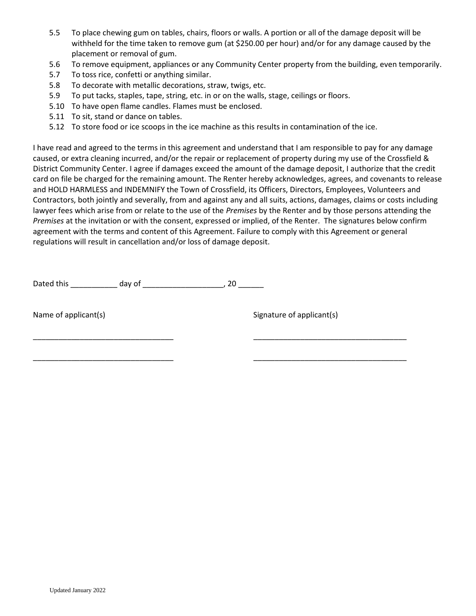- 5.5 To place chewing gum on tables, chairs, floors or walls. A portion or all of the damage deposit will be withheld for the time taken to remove gum (at \$250.00 per hour) and/or for any damage caused by the placement or removal of gum.
- 5.6 To remove equipment, appliances or any Community Center property from the building, even temporarily.
- 5.7 To toss rice, confetti or anything similar.
- 5.8 To decorate with metallic decorations, straw, twigs, etc.
- 5.9 To put tacks, staples, tape, string, etc. in or on the walls, stage, ceilings or floors.
- 5.10 To have open flame candles. Flames must be enclosed.
- 5.11 To sit, stand or dance on tables.
- 5.12 To store food or ice scoops in the ice machine as this results in contamination of the ice.

I have read and agreed to the terms in this agreement and understand that I am responsible to pay for any damage caused, or extra cleaning incurred, and/or the repair or replacement of property during my use of the Crossfield & District Community Center. I agree if damages exceed the amount of the damage deposit, I authorize that the credit card on file be charged for the remaining amount. The Renter hereby acknowledges, agrees, and covenants to release and HOLD HARMLESS and INDEMNIFY the Town of Crossfield, its Officers, Directors, Employees, Volunteers and Contractors, both jointly and severally, from and against any and all suits, actions, damages, claims or costs including lawyer fees which arise from or relate to the use of the *Premises* by the Renter and by those persons attending the *Premises* at the invitation or with the consent, expressed or implied, of the Renter. The signatures below confirm agreement with the terms and content of this Agreement. Failure to comply with this Agreement or general regulations will result in cancellation and/or loss of damage deposit.

\_\_\_\_\_\_\_\_\_\_\_\_\_\_\_\_\_\_\_\_\_\_\_\_\_\_\_\_\_\_\_\_\_ \_\_\_\_\_\_\_\_\_\_\_\_\_\_\_\_\_\_\_\_\_\_\_\_\_\_\_\_\_\_\_\_\_\_\_\_

\_\_\_\_\_\_\_\_\_\_\_\_\_\_\_\_\_\_\_\_\_\_\_\_\_\_\_\_\_\_\_\_\_ \_\_\_\_\_\_\_\_\_\_\_\_\_\_\_\_\_\_\_\_\_\_\_\_\_\_\_\_\_\_\_\_\_\_\_\_

Dated this \_\_\_\_\_\_\_\_\_\_\_\_\_ day of \_\_\_\_\_\_\_\_\_\_\_\_\_\_\_\_\_\_\_\_\_\_\_, 20 \_\_\_\_\_\_\_

Name of applicant(s) Name of applicant(s)

Updated January 2022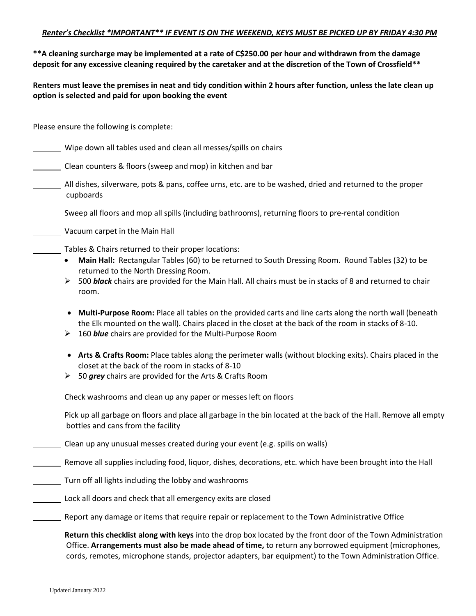**\*\*A cleaning surcharge may be implemented at a rate of C\$250.00 per hour and withdrawn from the damage deposit for any excessive cleaning required by the caretaker and at the discretion of the Town of Crossfield\*\***

**Renters must leave the premises in neat and tidy condition within 2 hours after function, unless the late clean up option is selected and paid for upon booking the event** 

Please ensure the following is complete:

- Wipe down all tables used and clean all messes/spills on chairs
- Clean counters & floors (sweep and mop) in kitchen and bar
- All dishes, silverware, pots & pans, coffee urns, etc. are to be washed, dried and returned to the proper cupboards
- Sweep all floors and mop all spills (including bathrooms), returning floors to pre-rental condition
- Vacuum carpet in the Main Hall
- Tables & Chairs returned to their proper locations:
	- **Main Hall:** Rectangular Tables (60) to be returned to South Dressing Room. Round Tables (32) to be returned to the North Dressing Room.
	- ➢ 500 *black* chairs are provided for the Main Hall. All chairs must be in stacks of 8 and returned to chair room.
	- **Multi-Purpose Room:** Place all tables on the provided carts and line carts along the north wall (beneath the Elk mounted on the wall). Chairs placed in the closet at the back of the room in stacks of 8-10.
	- ➢ 160 *blue* chairs are provided for the Multi-Purpose Room
	- **Arts & Crafts Room:** Place tables along the perimeter walls (without blocking exits). Chairs placed in the closet at the back of the room in stacks of 8-10
	- ➢ 50 *grey* chairs are provided for the Arts & Crafts Room
- Check washrooms and clean up any paper or messes left on floors
- Pick up all garbage on floors and place all garbage in the bin located at the back of the Hall. Remove all empty bottles and cans from the facility
- Clean up any unusual messes created during your event (e.g. spills on walls)
- Remove all supplies including food, liquor, dishes, decorations, etc. which have been brought into the Hall
- Turn off all lights including the lobby and washrooms
- Lock all doors and check that all emergency exits are closed
- Report any damage or items that require repair or replacement to the Town Administrative Office
	- **Return this checklist along with keys** into the drop box located by the front door of the Town Administration Office. **Arrangements must also be made ahead of time,** to return any borrowed equipment (microphones, cords, remotes, microphone stands, projector adapters, bar equipment) to the Town Administration Office.